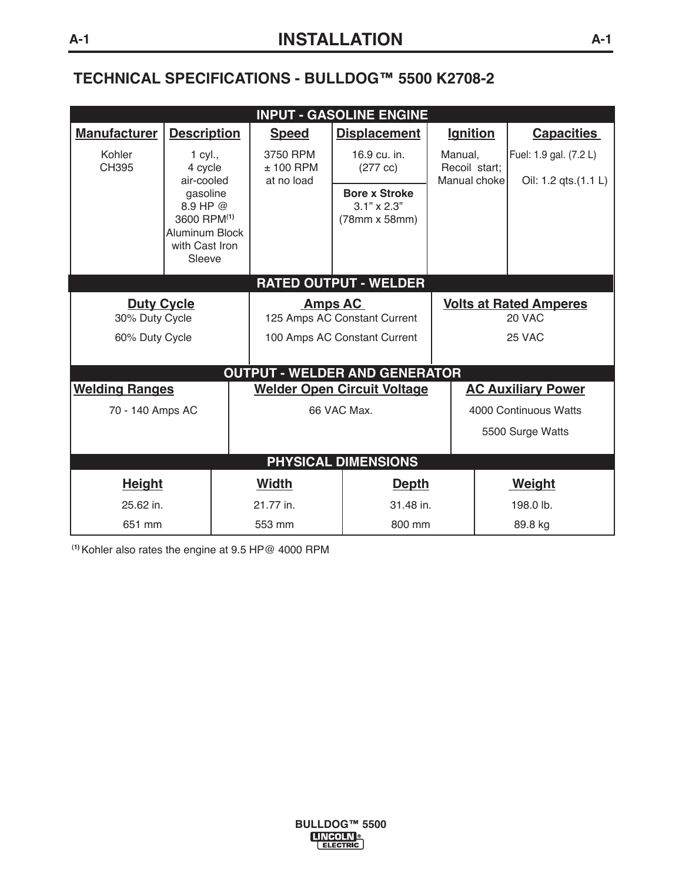## **TECHNICAL SPECIFICATIONS - BULLDOG™ 5500 K2708-2**

| <b>INPUT - GASOLINE ENGINE</b>       |                                                                                                      |                                                |                                                             |                                          |                                                |                   |  |  |
|--------------------------------------|------------------------------------------------------------------------------------------------------|------------------------------------------------|-------------------------------------------------------------|------------------------------------------|------------------------------------------------|-------------------|--|--|
| <b>Manufacturer</b>                  | <b>Description</b>                                                                                   | <b>Speed</b>                                   | <b>Displacement</b>                                         | <b>Ignition</b>                          |                                                | <b>Capacities</b> |  |  |
| Kohler<br>CH395                      | 1 cyl.,<br>4 cycle<br>air-cooled                                                                     | 3750 RPM<br>$± 100$ RPM<br>at no load          | 16.9 cu. in.<br>$(277 \text{ cc})$                          | Manual,<br>Recoil start;<br>Manual choke | Fuel: 1.9 gal. (7.2 L)<br>Oil: 1.2 qts.(1.1 L) |                   |  |  |
|                                      | gasoline<br>8.9 HP @<br>3600 RPM <sup>(1)</sup><br><b>Aluminum Block</b><br>with Cast Iron<br>Sleeve |                                                | <b>Bore x Stroke</b><br>$3.1" \times 2.3"$<br>(78mm x 58mm) |                                          |                                                |                   |  |  |
| <b>RATED OUTPUT - WELDER</b>         |                                                                                                      |                                                |                                                             |                                          |                                                |                   |  |  |
| <b>Duty Cycle</b><br>30% Duty Cycle  |                                                                                                      | <b>Amps AC</b><br>125 Amps AC Constant Current |                                                             | <b>Volts at Rated Amperes</b><br>20 VAC  |                                                |                   |  |  |
| 60% Duty Cycle                       |                                                                                                      | 100 Amps AC Constant Current                   |                                                             | 25 VAC                                   |                                                |                   |  |  |
| <b>OUTPUT - WELDER AND GENERATOR</b> |                                                                                                      |                                                |                                                             |                                          |                                                |                   |  |  |
| <b>Welding Ranges</b>                |                                                                                                      | <b>Welder Open Circuit Voltage</b>             |                                                             | <b>AC Auxiliary Power</b>                |                                                |                   |  |  |
| 70 - 140 Amps AC                     |                                                                                                      | 66 VAC Max.                                    |                                                             | 4000 Continuous Watts                    |                                                |                   |  |  |
|                                      |                                                                                                      |                                                |                                                             | 5500 Surge Watts                         |                                                |                   |  |  |
| <b>PHYSICAL DIMENSIONS</b>           |                                                                                                      |                                                |                                                             |                                          |                                                |                   |  |  |
| <b>Height</b>                        |                                                                                                      | <b>Width</b>                                   | <b>Depth</b>                                                |                                          |                                                | <b>Weight</b>     |  |  |
| 25.62 in.                            |                                                                                                      | 21.77 in.                                      | 31.48 in.                                                   |                                          |                                                | 198.0 lb.         |  |  |
| 651 mm                               |                                                                                                      | 553 mm                                         | 800 mm                                                      |                                          |                                                | 89.8 kg           |  |  |

**(1)** Kohler also rates the engine at 9.5 HP@ 4000 RPM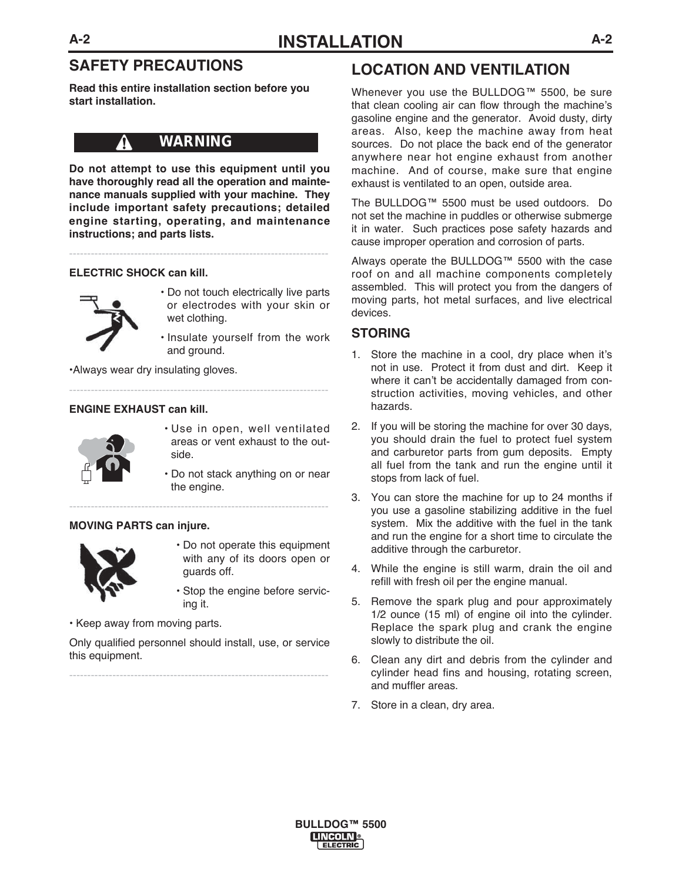## **SAFETY PRECAUTIONS**

**Read this entire installation section before you start installation.**

## **WARNING**

**Do not attempt to use this equipment until you have thoroughly read all the operation and maintenance manuals supplied with your machine. They include important safety precautions; detailed engine starting, operating, and maintenance instructions; and parts lists.**

------------------------------------------------------------------------

------------------------------------------------------------------------

------------------------------------------------------------------------

#### **ELECTRIC SHOCK can kill.**

Λ



- Do not touch electrically live parts or electrodes with your skin or wet clothing.
- Insulate yourself from the work and ground.

•Always wear dry insulating gloves.

#### **ENGINE EXHAUST can kill.**



- Use in open, well ventilated areas or vent exhaust to the outside.
- Do not stack anything on or near the engine.

#### **MOVING PARTS can injure.**



- Do not operate this equipment with any of its doors open or guards off.
- Stop the engine before servicing it.
- Keep away from moving parts.

Only qualified personnel should install, use, or service this equipment.

------------------------------------------------------------------------

## **LOCATION AND VENTILATION**

Whenever you use the BULLDOG™ 5500, be sure that clean cooling air can flow through the machine's gasoline engine and the generator. Avoid dusty, dirty areas. Also, keep the machine away from heat sources. Do not place the back end of the generator anywhere near hot engine exhaust from another machine. And of course, make sure that engine exhaust is ventilated to an open, outside area.

The BULLDOG™ 5500 must be used outdoors. Do not set the machine in puddles or otherwise submerge it in water. Such practices pose safety hazards and cause improper operation and corrosion of parts.

Always operate the BULLDOG™ 5500 with the case roof on and all machine components completely assembled. This will protect you from the dangers of moving parts, hot metal surfaces, and live electrical devices.

#### **STORING**

- 1. Store the machine in a cool, dry place when it's not in use. Protect it from dust and dirt. Keep it where it can't be accidentally damaged from construction activities, moving vehicles, and other hazards.
- 2. If you will be storing the machine for over 30 days, you should drain the fuel to protect fuel system and carburetor parts from gum deposits. Empty all fuel from the tank and run the engine until it stops from lack of fuel.
- 3. You can store the machine for up to 24 months if you use a gasoline stabilizing additive in the fuel system. Mix the additive with the fuel in the tank and run the engine for a short time to circulate the additive through the carburetor.
- 4. While the engine is still warm, drain the oil and refill with fresh oil per the engine manual.
- 5. Remove the spark plug and pour approximately 1/2 ounce (15 ml) of engine oil into the cylinder. Replace the spark plug and crank the engine slowly to distribute the oil.
- 6. Clean any dirt and debris from the cylinder and cylinder head fins and housing, rotating screen, and muffler areas.
- 7. Store in a clean, dry area.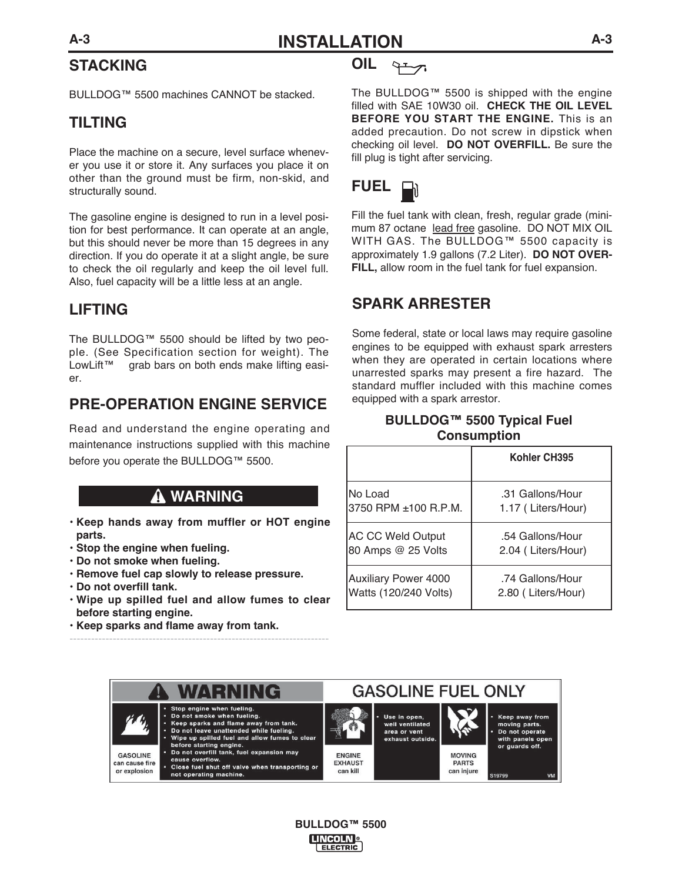# **STACKING**

BULLDOG™ 5500 machines CANNOT be stacked.

## **TILTING**

Place the machine on a secure, level surface whenever you use it or store it. Any surfaces you place it on other than the ground must be firm, non-skid, and structurally sound.

The gasoline engine is designed to run in a level position for best performance. It can operate at an angle, but this should never be more than 15 degrees in any direction. If you do operate it at a slight angle, be sure to check the oil regularly and keep the oil level full. Also, fuel capacity will be a little less at an angle.

## **LIFTING**

The BULLDOG™ 5500 should be lifted by two people. (See Specification section for weight). The LowLift™ grab bars on both ends make lifting easier.

## **PRE-OPERATION ENGINE SERVICE**

Read and understand the engine operating and maintenance instructions supplied with this machine before you operate the BULLDOG™ 5500.

## **WARNING**

- **Keep hands away from muffler or HOT engine parts.**
- **Stop the engine when fueling.**
- **Do not smoke when fueling.**
- **Remove fuel cap slowly to release pressure.**
- **Do not overfill tank.**
- **Wipe up spilled fuel and allow fumes to clear before starting engine.**

------------------------------------------------------------------------

**• Keep sparks and flame away from tank.**



The BULLDOG™ 5500 is shipped with the engine filled with SAE 10W30 oil. **CHECK THE OIL LEVEL BEFORE YOU START THE ENGINE.** This is an added precaution. Do not screw in dipstick when checking oil level. **DO NOT OVERFILL.** Be sure the fill plug is tight after servicing.



Fill the fuel tank with clean, fresh, regular grade (minimum 87 octane lead free gasoline. DO NOT MIX OIL WITH GAS. The BULLDOG™ 5500 capacity is approximately 1.9 gallons (7.2 Liter). **DO NOT OVER-FILL,** allow room in the fuel tank for fuel expansion.

## **SPARK ARRESTER**

Some federal, state or local laws may require gasoline engines to be equipped with exhaust spark arresters when they are operated in certain locations where unarrested sparks may present a fire hazard. The standard muffler included with this machine comes equipped with a spark arrestor.

## **BULLDOG™ 5500 Typical Fuel Consumption**

|                             | Kohler CH395       |  |
|-----------------------------|--------------------|--|
| INo Load                    | .31 Gallons/Hour   |  |
| 3750 RPM ±100 R.P.M.        | 1.17 (Liters/Hour) |  |
| <b>AC CC Weld Output</b>    | .54 Gallons/Hour   |  |
| 80 Amps @ 25 Volts          | 2.04 (Liters/Hour) |  |
| <b>Auxiliary Power 4000</b> | .74 Gallons/Hour   |  |
| Watts (120/240 Volts)       | 2.80 (Liters/Hour) |  |



**BULLDOG™ 5500 LINCOLN** ELECTRIC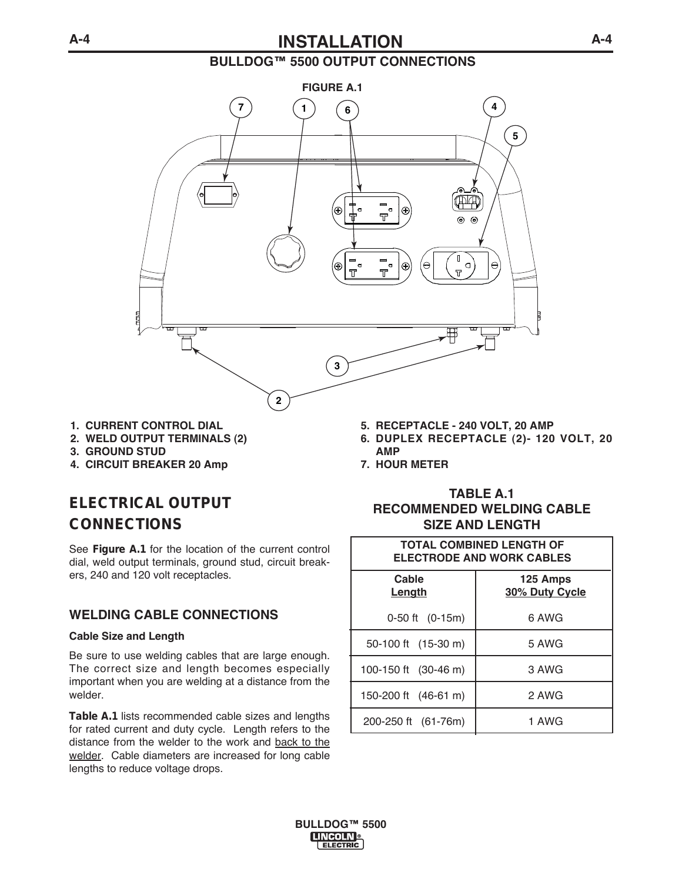## **A-4 INSTALLATION**

## **BULLDOG™ 5500 OUTPUT CONNECTIONS**



- **1. CURRENT CONTROL DIAL**
- **2. WELD OUTPUT TERMINALS (2)**
- **3. GROUND STUD**
- **4. CIRCUIT BREAKER 20 Amp**

# **ELECTRICAL OUTPUT CONNECTIONS**

See **Figure A.1** for the location of the current control dial, weld output terminals, ground stud, circuit breakers, 240 and 120 volt receptacles.

## **WELDING CABLE CONNECTIONS**

#### **Cable Size and Length**

Be sure to use welding cables that are large enough. The correct size and length becomes especially important when you are welding at a distance from the welder.

**Table A.1** lists recommended cable sizes and lengths for rated current and duty cycle. Length refers to the distance from the welder to the work and back to the welder. Cable diameters are increased for long cable lengths to reduce voltage drops.

- **5. RECEPTACLE 240 VOLT, 20 AMP**
- **6. DUPLEX RECEPTACLE (2)- 120 VOLT, 20 AMP**
- **7. HOUR METER**

## **TABLE A.1 RECOMMENDED WELDING CABLE SIZE AND LENGTH**

| <b>TOTAL COMBINED LENGTH OF</b><br><b>ELECTRODE AND WORK CABLES</b> |                            |  |  |  |
|---------------------------------------------------------------------|----------------------------|--|--|--|
| Cable<br><u>Length</u>                                              | 125 Amps<br>30% Duty Cycle |  |  |  |
| 0-50 ft (0-15m)                                                     | 6 AWG                      |  |  |  |
| 50-100 ft (15-30 m)                                                 | 5 AWG                      |  |  |  |
| 100-150 ft (30-46 m)                                                | 3 AWG                      |  |  |  |
| 150-200 ft (46-61 m)                                                | 2 AWG                      |  |  |  |
| 200-250 ft (61-76m)                                                 | 1 AWG                      |  |  |  |

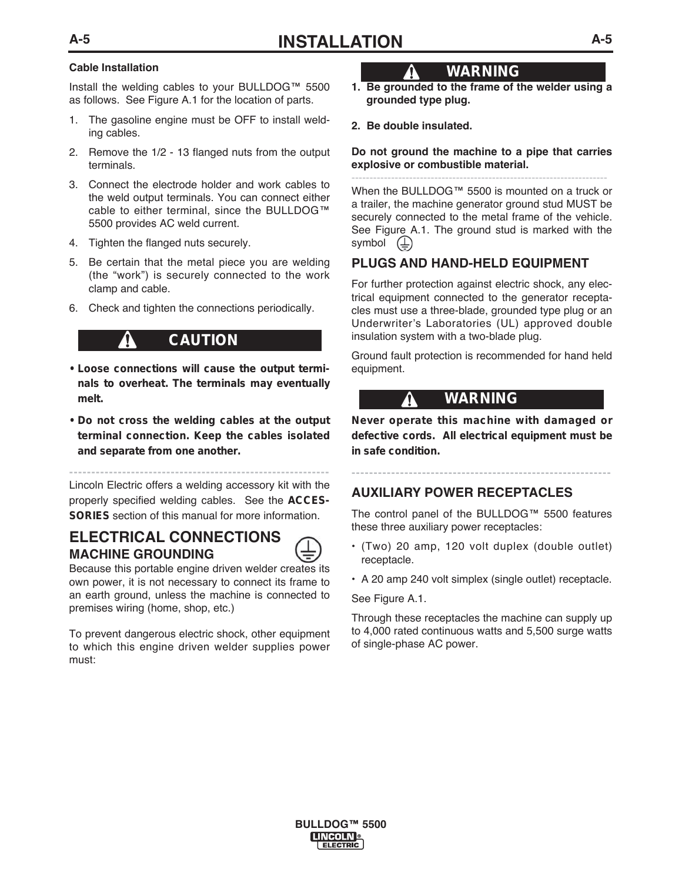#### **Cable Installation**

Install the welding cables to your BULLDOG™ 5500 as follows. See Figure A.1 for the location of parts.

- 1. The gasoline engine must be OFF to install welding cables.
- 2. Remove the 1/2 13 flanged nuts from the output terminals.
- 3. Connect the electrode holder and work cables to the weld output terminals. You can connect either cable to either terminal, since the BULLDOG™ 5500 provides AC weld current.
- 4. Tighten the flanged nuts securely.
- 5. Be certain that the metal piece you are welding (the "work") is securely connected to the work clamp and cable.
- 6. Check and tighten the connections periodically.

## **CAUTION**

- **Loose connections will cause the output terminals to overheat. The terminals may eventually melt.**
- **Do not cross the welding cables at the output terminal connection. Keep the cables isolated and separate from one another.**

**-----------------------------------------------------------**

Lincoln Electric offers a welding accessory kit with the properly specified welding cables. See the **ACCES-SORIES** section of this manual for more information.

## **ELECTRICAL CONNECTIONS MACHINE GROUNDING**



Because this portable engine driven welder creates its own power, it is not necessary to connect its frame to an earth ground, unless the machine is connected to premises wiring (home, shop, etc.)

To prevent dangerous electric shock, other equipment to which this engine driven welder supplies power must:

## **WARNING**

- **1. Be grounded to the frame of the welder using a grounded type plug.**
- **2. Be double insulated.**

 $\bf \Omega$ 

#### **Do not ground the machine to a pipe that carries explosive or combustible material.**

----------------------------------------------------------------------- When the BULLDOG™ 5500 is mounted on a truck or a trailer, the machine generator ground stud MUST be securely connected to the metal frame of the vehicle. See Figure A.1. The ground stud is marked with the symbol  $(\underline{\underline{\bot}})$ 

### **PLUGS AND HAND-HELD EQUIPMENT**

For further protection against electric shock, any electrical equipment connected to the generator receptacles must use a three-blade, grounded type plug or an Underwriter's Laboratories (UL) approved double insulation system with a two-blade plug.

Ground fault protection is recommended for hand held equipment.

## **WARNING**

**Never operate this machine with damaged or defective cords. All electrical equipment must be in safe condition.**

**-----------------------------------------------------------**

## **AUXILIARY POWER RECEPTACLES**

The control panel of the BULLDOG™ 5500 features these three auxiliary power receptacles:

- (Two) 20 amp, 120 volt duplex (double outlet) receptacle.
- A 20 amp 240 volt simplex (single outlet) receptacle.

#### See Figure A.1.

Through these receptacles the machine can supply up to 4,000 rated continuous watts and 5,500 surge watts of single-phase AC power.

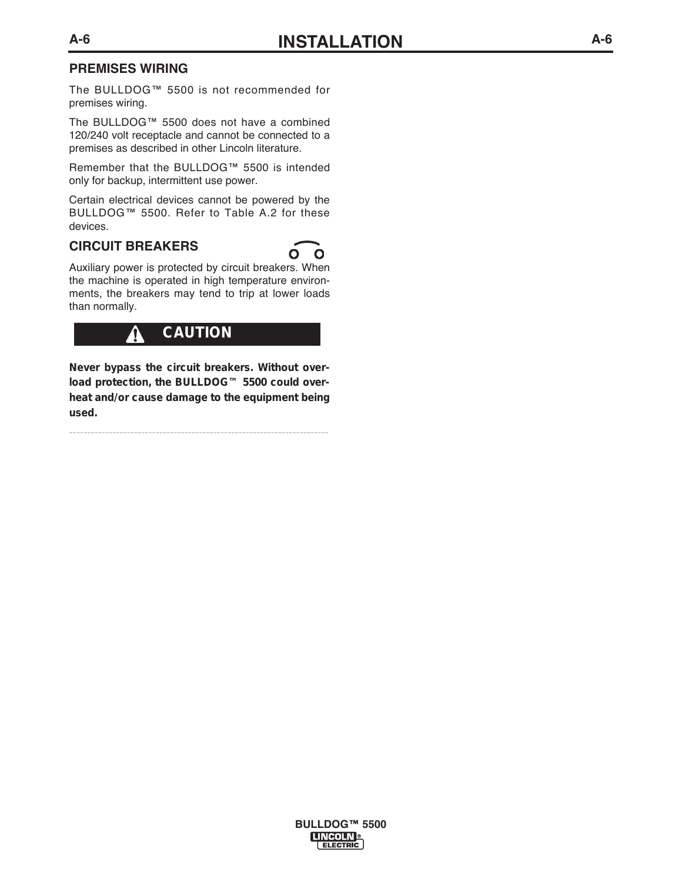### **PREMISES WIRING**

The BULLDOG™ 5500 is not recommended for premises wiring.

The BULLDOG™ 5500 does not have a combined 120/240 volt receptacle and cannot be connected to a premises as described in other Lincoln literature.

Remember that the BULLDOG™ 5500 is intended only for backup, intermittent use power.

Certain electrical devices cannot be powered by the BULLDOG™ 5500. Refer to Table A.2 for these devices.

### **CIRCUIT BREAKERS**



Auxiliary power is protected by circuit breakers. When the machine is operated in high temperature environments, the breakers may tend to trip at lower loads than normally.

#### **CAUTION**ŋ

**Never bypass the circuit breakers. Without overload protection, the BULLDOG™ 5500 could overheat and/or cause damage to the equipment being used.**

------------------------------------------------------------------------